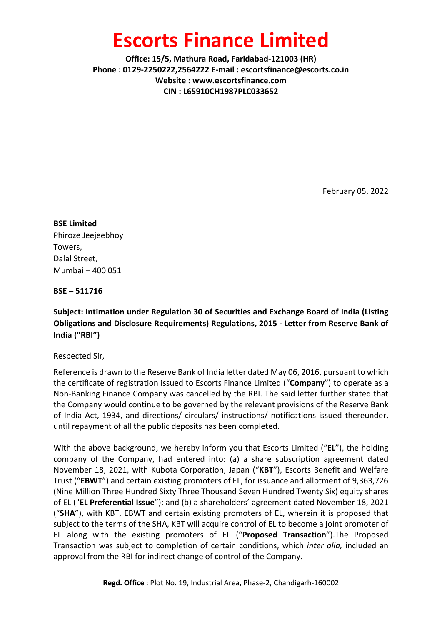## Escorts Finance Limited

Office: 15/5, Mathura Road, Faridabad-121003 (HR) Phone : 0129-2250222,2564222 E-mail : escortsfinance@escorts.co.in Website : www.escortsfinance.com CIN : L65910CH1987PLC033652

February 05, 2022

BSE Limited Phiroze Jeejeebhoy Towers, Dalal Street, Mumbai – 400 051

BSE – 511716

Subject: Intimation under Regulation 30 of Securities and Exchange Board of India (Listing Obligations and Disclosure Requirements) Regulations, 2015 - Letter from Reserve Bank of India ("RBI")

Respected Sir,

Reference is drawn to the Reserve Bank of India letter dated May 06, 2016, pursuant to which the certificate of registration issued to Escorts Finance Limited ("Company") to operate as a Non-Banking Finance Company was cancelled by the RBI. The said letter further stated that the Company would continue to be governed by the relevant provisions of the Reserve Bank of India Act, 1934, and directions/ circulars/ instructions/ notifications issued thereunder, until repayment of all the public deposits has been completed.

With the above background, we hereby inform you that Escorts Limited ("EL"), the holding company of the Company, had entered into: (a) a share subscription agreement dated November 18, 2021, with Kubota Corporation, Japan ("KBT"), Escorts Benefit and Welfare Trust ("EBWT") and certain existing promoters of EL, for issuance and allotment of 9,363,726 (Nine Million Three Hundred Sixty Three Thousand Seven Hundred Twenty Six) equity shares of EL ("EL Preferential Issue"); and (b) a shareholders' agreement dated November 18, 2021 ("SHA"), with KBT, EBWT and certain existing promoters of EL, wherein it is proposed that subject to the terms of the SHA, KBT will acquire control of EL to become a joint promoter of EL along with the existing promoters of EL ("Proposed Transaction").The Proposed Transaction was subject to completion of certain conditions, which inter alia, included an approval from the RBI for indirect change of control of the Company.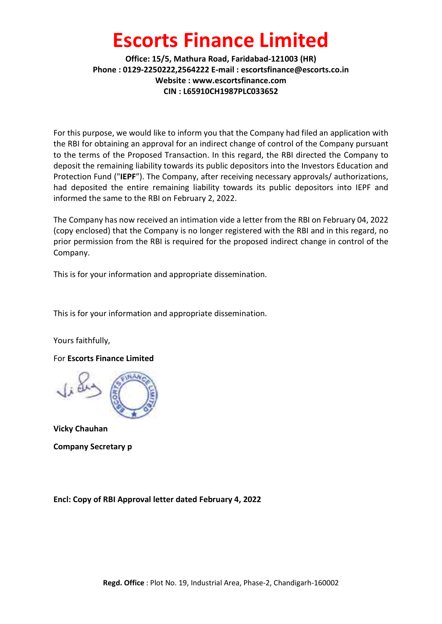# Escorts Finance Limited

#### Office: 15/5, Mathura Road, Faridabad-121003 (HR) Phone : 0129-2250222,2564222 E-mail : escortsfinance@escorts.co.in Website : www.escortsfinance.com CIN : L65910CH1987PLC033652

For this purpose, we would like to inform you that the Company had filed an application with the RBI for obtaining an approval for an indirect change of control of the Company pursuant to the terms of the Proposed Transaction. In this regard, the RBI directed the Company to deposit the remaining liability towards its public depositors into the Investors Education and Protection Fund ("IEPF"). The Company, after receiving necessary approvals/ authorizations, had deposited the entire remaining liability towards its public depositors into IEPF and informed the same to the RBI on February 2, 2022.

The Company has now received an intimation vide a letter from the RBI on February 04, 2022 (copy enclosed) that the Company is no longer registered with the RBI and in this regard, no prior permission from the RBI is required for the proposed indirect change in control of the Company.

This is for your information and appropriate dissemination.

This is for your information and appropriate dissemination.

Yours faithfully,

For Escorts Finance Limited



Vicky Chauhan Company Secretary p

Encl: Copy of RBI Approval letter dated February 4, 2022